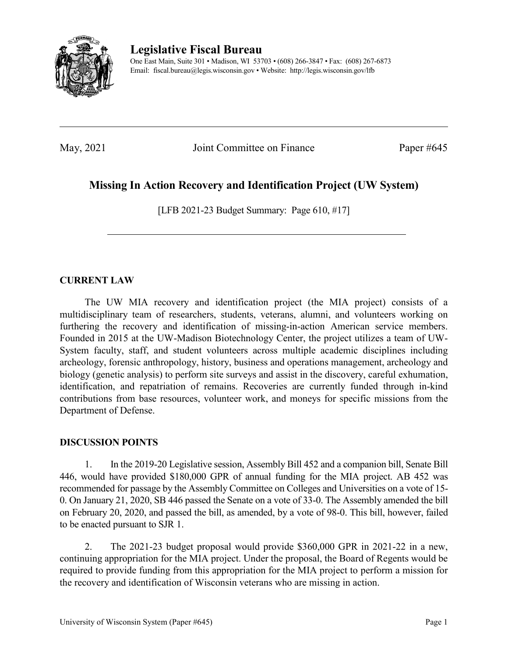

**Legislative Fiscal Bureau**

One East Main, Suite 301 • Madison, WI 53703 • (608) 266-3847 • Fax: (608) 267-6873 Email: fiscal.bureau@legis.wisconsin.gov • Website:<http://legis.wisconsin.gov/lfb>

May, 2021 Joint Committee on Finance Paper #645

## **Missing In Action Recovery and Identification Project (UW System)**

[LFB 2021-23 Budget Summary: Page 610, #17]

## **CURRENT LAW**

The UW MIA recovery and identification project (the MIA project) consists of a multidisciplinary team of researchers, students, veterans, alumni, and volunteers working on furthering the recovery and identification of missing-in-action American service members. Founded in 2015 at the UW-Madison Biotechnology Center, the project utilizes a team of UW-System faculty, staff, and student volunteers across multiple academic disciplines including archeology, forensic anthropology, history, business and operations management, archeology and biology (genetic analysis) to perform site surveys and assist in the discovery, careful exhumation, identification, and repatriation of remains. Recoveries are currently funded through in-kind contributions from base resources, volunteer work, and moneys for specific missions from the Department of Defense.

## **DISCUSSION POINTS**

1. In the 2019-20 Legislative session, Assembly Bill 452 and a companion bill, Senate Bill 446, would have provided \$180,000 GPR of annual funding for the MIA project. AB 452 was recommended for passage by the Assembly Committee on Colleges and Universities on a vote of 15- 0. On January 21, 2020, SB 446 passed the Senate on a vote of 33-0. The Assembly amended the bill on February 20, 2020, and passed the bill, as amended, by a vote of 98-0. This bill, however, failed to be enacted pursuant to SJR 1.

2. The 2021-23 budget proposal would provide \$360,000 GPR in 2021-22 in a new, continuing appropriation for the MIA project. Under the proposal, the Board of Regents would be required to provide funding from this appropriation for the MIA project to perform a mission for the recovery and identification of Wisconsin veterans who are missing in action.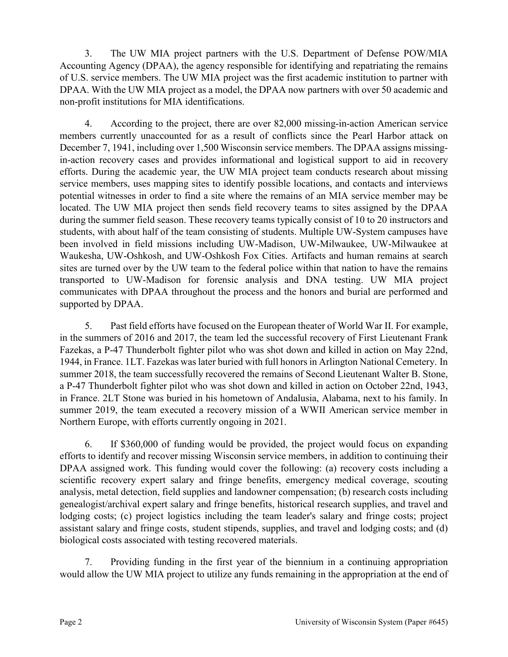3. The UW MIA project partners with the U.S. Department of Defense POW/MIA Accounting Agency (DPAA), the agency responsible for identifying and repatriating the remains of U.S. service members. The UW MIA project was the first academic institution to partner with DPAA. With the UW MIA project as a model, the DPAA now partners with over 50 academic and non-profit institutions for MIA identifications.

4. According to the project, there are over 82,000 missing-in-action American service members currently unaccounted for as a result of conflicts since the Pearl Harbor attack on December 7, 1941, including over 1,500 Wisconsin service members. The DPAA assigns missingin-action recovery cases and provides informational and logistical support to aid in recovery efforts. During the academic year, the UW MIA project team conducts research about missing service members, uses mapping sites to identify possible locations, and contacts and interviews potential witnesses in order to find a site where the remains of an MIA service member may be located. The UW MIA project then sends field recovery teams to sites assigned by the DPAA during the summer field season. These recovery teams typically consist of 10 to 20 instructors and students, with about half of the team consisting of students. Multiple UW-System campuses have been involved in field missions including UW-Madison, UW-Milwaukee, UW-Milwaukee at Waukesha, UW-Oshkosh, and UW-Oshkosh Fox Cities. Artifacts and human remains at search sites are turned over by the UW team to the federal police within that nation to have the remains transported to UW-Madison for forensic analysis and DNA testing. UW MIA project communicates with DPAA throughout the process and the honors and burial are performed and supported by DPAA.

5. Past field efforts have focused on the European theater of World War II. For example, in the summers of 2016 and 2017, the team led the successful recovery of First Lieutenant Frank Fazekas, a P-47 Thunderbolt fighter pilot who was shot down and killed in action on May 22nd, 1944, in France. 1LT. Fazekas was later buried with full honors in Arlington National Cemetery. In summer 2018, the team successfully recovered the remains of Second Lieutenant Walter B. Stone, a P-47 Thunderbolt fighter pilot who was shot down and killed in action on October 22nd, 1943, in France. 2LT Stone was buried in his hometown of Andalusia, Alabama, next to his family. In summer 2019, the team executed a recovery mission of a WWII American service member in Northern Europe, with efforts currently ongoing in 2021.

6. If \$360,000 of funding would be provided, the project would focus on expanding efforts to identify and recover missing Wisconsin service members, in addition to continuing their DPAA assigned work. This funding would cover the following: (a) recovery costs including a scientific recovery expert salary and fringe benefits, emergency medical coverage, scouting analysis, metal detection, field supplies and landowner compensation; (b) research costs including genealogist/archival expert salary and fringe benefits, historical research supplies, and travel and lodging costs; (c) project logistics including the team leader's salary and fringe costs; project assistant salary and fringe costs, student stipends, supplies, and travel and lodging costs; and (d) biological costs associated with testing recovered materials.

7. Providing funding in the first year of the biennium in a continuing appropriation would allow the UW MIA project to utilize any funds remaining in the appropriation at the end of